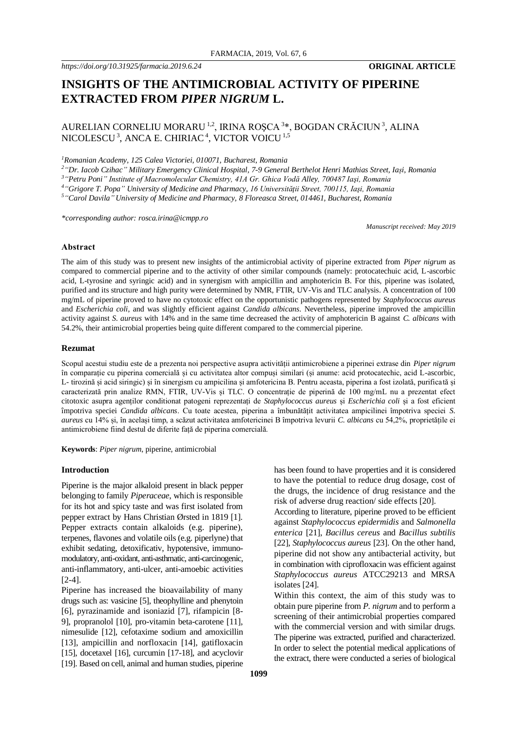# **INSIGHTS OF THE ANTIMICROBIAL ACTIVITY OF PIPERINE EXTRACTED FROM** *PIPER NIGRUM* **L.**

## AURELIAN CORNELIU MORARU <sup>1,2</sup>, IRINA ROȘCA <sup>3</sup>\*, BOGDAN CRĂCIUN<sup>3</sup>, ALINA  $\rm NICOLESCU$   $^3$ ,  $\rm ANCA$  E. CHIRIAC  $^4$ , VICTOR VOICU  $^{1,5}$

*<sup>1</sup>Romanian Academy, 125 Calea Victoriei, 010071, Bucharest, Romania*

*<sup>2</sup>"Dr. Iacob Czihac" Military Emergency Clinical Hospital, 7-9 General Berthelot Henri Mathias Street, Iași, Romania*

*<sup>3</sup>"Petru Poni" Institute of Macromolecular Chemistry, 41A Gr. Ghica Vodă Alley, 700487 Iaşi, Romania*

*<sup>4</sup>"Grigore T. Popa" University of Medicine and Pharmacy, 16 Universităţii Street, 700115, Iaşi, Romania*

*<sup>5</sup>"Carol Davila" University of Medicine and Pharmacy, 8 Floreasca Street, 014461, Bucharest, Romania*

*\*corresponding author: rosca.irina@icmpp.ro*

*Manuscript received: May 2019*

#### **Abstract**

The aim of this study was to present new insights of the antimicrobial activity of piperine extracted from *Piper nigrum* as compared to commercial piperine and to the activity of other similar compounds (namely: protocatechuic acid, L-ascorbic acid, L-tyrosine and syringic acid) and in synergism with ampicillin and amphotericin B. For this, piperine was isolated, purified and its structure and high purity were determined by NMR, FTIR, UV-Vis and TLC analysis. A concentration of 100 mg/mL of piperine proved to have no cytotoxic effect on the opportunistic pathogens represented by *Staphylococcus aureus* and *Escherichia coli*, and was slightly efficient against *Candida albicans*. Nevertheless, piperine improved the ampicillin activity against *S. aureus* with 14% and in the same time decreased the activity of amphotericin B against *C. albicans* with 54.2%, their antimicrobial properties being quite different compared to the commercial piperine.

#### **Rezumat**

Scopul acestui studiu este de a prezenta noi perspective asupra activității antimicrobiene a piperinei extrase din *Piper nigrum*  în comparație cu piperina comercială și cu activitatea altor compuși similari (și anume: acid protocatechic, acid L-ascorbic, L- tirozină și acid siringic) și în sinergism cu ampicilina și amfotericina B. Pentru aceasta, piperina a fost izolată, purificată și caracterizată prin analize RMN, FTIR, UV-Vis și TLC. O concentrație de piperină de 100 mg/mL nu a prezentat efect citotoxic asupra agenților conditionat patogeni reprezentați de *Staphylococcus aureus* și *Escherichia coli* și a fost eficient împotriva speciei *Candida albicans*. Cu toate acestea, piperina a îmbunătățit activitatea ampicilinei împotriva speciei *S. aureus* cu 14% și, în același timp, a scăzut activitatea amfotericinei B împotriva levurii *C. albicans* cu 54,2%, proprietățile ei antimicrobiene fiind destul de diferite față de piperina comercială.

**Keywords**: *Piper nigrum*, piperine, antimicrobial

## **Introduction**

Piperine is the major alkaloid present in black pepper belonging to family *Piperaceae*, which is responsible for its hot and spicy taste and was first isolated from pepper extract by Hans Christian Ørsted in 1819 [1]. Pepper extracts contain alkaloids (e.g. piperine), terpenes, flavones and volatile oils (e.g. piperlyne) that exhibit sedating, detoxificativ, hypotensive, immunomodulatory, anti-oxidant, anti-asthmatic, anti-carcinogenic, anti-inflammatory, anti-ulcer, anti-amoebic activities [2-4].

Piperine has increased the bioavailability of many drugs such as: vasicine [5], theophylline and phenytoin [6], pyrazinamide and isoniazid [7], rifampicin [8- 9], propranolol [10], pro-vitamin beta-carotene [11], nimesulide [12], cefotaxime sodium and amoxicillin [13], ampicillin and norfloxacin [14], gatifloxacin [15], docetaxel [16], curcumin [17-18], and acyclovir [19]. Based on cell, animal and human studies, piperine

has been found to have properties and it is considered to have the potential to reduce drug dosage, cost of the drugs, the incidence of drug resistance and the risk of adverse drug reaction/ side effects [20].

According to literature, piperine proved to be efficient against *Staphylococcus epidermidis* and *Salmonella enterica* [21], *Bacillus cereus* and *Bacillus subtilis*  [22], *Staphylococcus aureus* [23]. On the other hand, piperine did not show any antibacterial activity, but in combination with ciprofloxacin was efficient against *Staphylococcus aureus* ATCC29213 and MRSA isolates [24].

Within this context, the aim of this study was to obtain pure piperine from *P. nigrum* and to perform a screening of their antimicrobial properties compared with the commercial version and with similar drugs. The piperine was extracted, purified and characterized. In order to select the potential medical applications of the extract, there were conducted a series of biological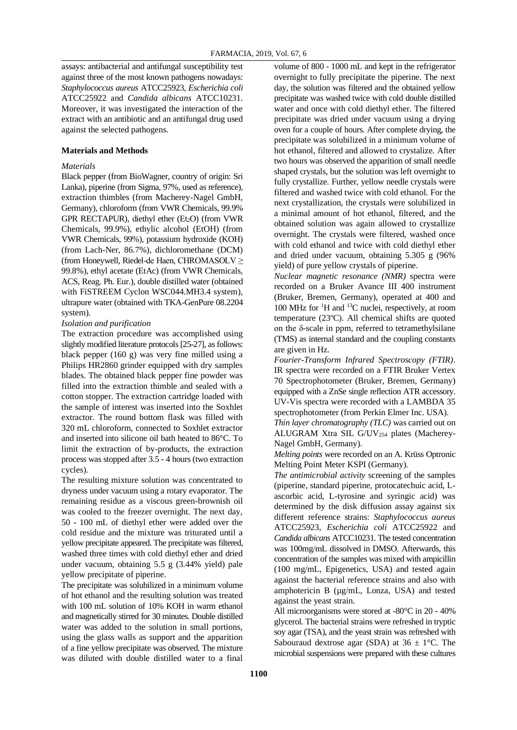assays: antibacterial and antifungal susceptibility test against three of the most known pathogens nowadays: *Staphylococcus aureus* ATCC25923, *Escherichia coli* ATCC25922 and *Candida albicans* ATCC10231. Moreover, it was investigated the interaction of the extract with an antibiotic and an antifungal drug used against the selected pathogens.

## **Materials and Methods**

## *Materials*

Black pepper (from BioWagner, country of origin: Sri Lanka), piperine (from Sigma, 97%, used as reference). extraction thimbles (from Macherey-Nagel GmbH, Germany), chloroform (from VWR Chemicals, 99.9% GPR RECTAPUR), diethyl ether  $(Et<sub>2</sub>O)$  (from VWR Chemicals, 99.9%), ethylic alcohol (EtOH) (from VWR Chemicals, 99%), potassium hydroxide (KOH) (from Lach-Ner, 86.7%), dichloromethane (DCM) (from Honeywell, Riedel-de Haen, CHROMASOLV ≥ 99.8%), ethyl acetate (EtAc) (from VWR Chemicals, ACS, Reag. Ph. Eur.), double distilled water (obtained with FiSTREEM Cyclon WSC044.MH3.4 system). ultrapure water (obtained with TKA-GenPure 08.2204 system).

## *Isolation and purification*

The extraction procedure was accomplished using slightly modified literature protocols [25-27], as follows: black pepper (160 g) was very fine milled using a Philips HR2860 grinder equipped with dry samples blades. The obtained black pepper fine powder was filled into the extraction thimble and sealed with a cotton stopper. The extraction cartridge loaded with the sample of interest was inserted into the Soxhlet extractor. The round bottom flask was filled with 320 mL chloroform, connected to Soxhlet extractor and inserted into silicone oil bath heated to 86°C. To limit the extraction of by-products, the extraction process was stopped after 3.5 - 4 hours (two extraction cycles).

The resulting mixture solution was concentrated to dryness under vacuum using a rotary evaporator. The remaining residue as a viscous green-brownish oil was cooled to the freezer overnight. The next day, 50 - 100 mL of diethyl ether were added over the cold residue and the mixture was triturated until a yellow precipitate appeared. The precipitate was filtered, washed three times with cold diethyl ether and dried under vacuum, obtaining 5.5 g (3.44% yield) pale yellow precipitate of piperine.

The precipitate was solubilized in a minimum volume of hot ethanol and the resulting solution was treated with 100 mL solution of 10% KOH in warm ethanol and magnetically stirred for 30 minutes. Double distilled water was added to the solution in small portions, using the glass walls as support and the apparition of a fine yellow precipitate was observed. The mixture was diluted with double distilled water to a final

volume of 800 - 1000 mL and kept in the refrigerator overnight to fully precipitate the piperine. The next day, the solution was filtered and the obtained yellow precipitate was washed twice with cold double distilled water and once with cold diethyl ether. The filtered precipitate was dried under vacuum using a drying oven for a couple of hours. After complete drying, the precipitate was solubilized in a minimum volume of hot ethanol, filtered and allowed to crystalize. After two hours was observed the apparition of small needle shaped crystals, but the solution was left overnight to fully crystallize. Further, yellow needle crystals were filtered and washed twice with cold ethanol. For the next crystallization, the crystals were solubilized in a minimal amount of hot ethanol, filtered, and the obtained solution was again allowed to crystallize overnight. The crystals were filtered, washed once with cold ethanol and twice with cold diethyl ether and dried under vacuum, obtaining 5.305 g (96% yield) of pure yellow crystals of piperine.

*Nuclear magnetic resonance (NMR)* spectra were recorded on a Bruker Avance III 400 instrument (Bruker, Bremen, Germany), operated at 400 and 100 MHz for  ${}^{1}$ H and  ${}^{13}$ C nuclei, respectively, at room temperature (23ºC). All chemical shifts are quoted on the  $\delta$ -scale in ppm, referred to tetramethylsilane (TMS) as internal standard and the coupling constants are given in Hz.

*Fourier-Transform Infrared Spectroscopy (FTIR)*. IR spectra were recorded on a FTIR Bruker Vertex 70 Spectrophotometer (Bruker, Bremen, Germany) equipped with a ZnSe single reflection ATR accessory. UV-Vis spectra were recorded with a LAMBDA 35 spectrophotometer (from Perkin Elmer Inc. USA).

*Thin layer chromatography (TLC)* was carried out on ALUGRAM Xtra SIL G/UV<sup>254</sup> plates (Macherey-Nagel GmbH, Germany).

*Melting points* were recorded on an A. Krüss Optronic Melting Point Meter KSPI (Germany).

*The antimicrobial activity* screening of the samples (piperine, standard piperine, protocatechuic acid, Lascorbic acid, L-tyrosine and syringic acid) was determined by the disk diffusion assay against six different reference strains: *Staphylococcus aureus*  ATCC25923, *Escherichia coli* ATCC25922 and *Candida albicans* ATCC10231. The tested concentration was 100mg/mL dissolved in DMSO. Afterwards, this concentration of the samples was mixed with ampicillin (100 mg/mL, Epigenetics, USA) and tested again against the bacterial reference strains and also with amphotericin B (µg/mL, Lonza, USA) and tested against the yeast strain.

All microorganisms were stored at -80°C in 20 - 40% glycerol. The bacterial strains were refreshed in tryptic soy agar (TSA), and the yeast strain was refreshed with Sabouraud dextrose agar (SDA) at  $36 \pm 1$ °C. The microbial suspensions were prepared with these cultures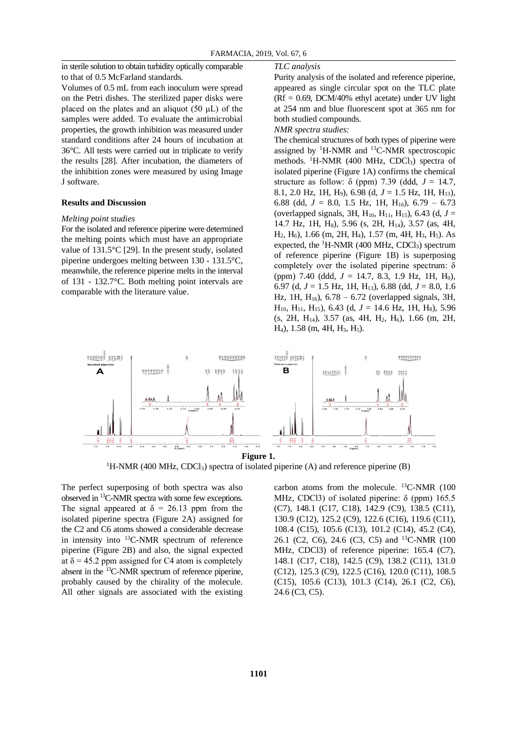in sterile solution to obtain turbidity optically comparable to that of 0.5 McFarland standards.

Volumes of 0.5 mL from each inoculum were spread on the Petri dishes. The sterilized paper disks were placed on the plates and an aliquot  $(50 \mu L)$  of the samples were added. To evaluate the antimicrobial properties, the growth inhibition was measured under standard conditions after 24 hours of incubation at 36°C. All tests were carried out in triplicate to verify the results [28]. After incubation, the diameters of the inhibition zones were measured by using Image J software.

#### **Results and Discussion**

#### *Melting point studies*

For the isolated and reference piperine were determined the melting points which must have an appropriate value of 131.5°C [29]. In the present study, isolated piperine undergoes melting between 130 - 131.5°C, meanwhile, the reference piperine melts in the interval of 131 - 132.7°C. Both melting point intervals are comparable with the literature value.

#### *TLC analysis*

Purity analysis of the isolated and reference piperine, appeared as single circular spot on the TLC plate  $(Rf = 0.69, DCM/40\%$  ethyl acetate) under UV light at 254 nm and blue fluorescent spot at 365 nm for both studied compounds.

*NMR spectra studies:*

The chemical structures of both types of piperine were assigned by  ${}^{1}$ H-NMR and  ${}^{13}$ C-NMR spectroscopic methods.  ${}^{1}$ H-NMR (400 MHz, CDCl<sub>3</sub>) spectra of isolated piperine (Figure 1A) confirms the chemical structure as follow:  $\delta$  (ppm) 7.39 (ddd,  $J = 14.7$ , 8.1, 2.0 Hz, 1H, H9), 6.98 (d, *J* = 1.5 Hz, 1H, H13), 6.88 (dd,  $J = 8.0$ , 1.5 Hz, 1H, H<sub>16</sub>), 6.79 – 6.73 (overlapped signals, 3H,  $H_{10}$ ,  $H_{11}$ ,  $H_{15}$ ), 6.43 (d,  $J =$ 14.7 Hz, 1H, H<sub>8</sub>), 5.96 (s, 2H, H<sub>14</sub>), 3.57 (as, 4H, H<sub>2</sub>, H<sub>6</sub>), 1.66 (m, 2H, H<sub>4</sub>), 1.57 (m, 4H, H<sub>3</sub>, H<sub>5</sub>). As expected, the  ${}^{1}$ H-NMR (400 MHz, CDCl<sub>3</sub>) spectrum of reference piperine (Figure 1B) is superposing completely over the isolated piperine spectrum: δ (ppm) 7.40 (ddd, *J* = 14.7, 8.3, 1.9 Hz, 1H, H9), 6.97 (d, *J* = 1.5 Hz, 1H, H13), 6.88 (dd, *J* = 8.0, 1.6 Hz, 1H, H16), 6.78 – 6.72 (overlapped signals, 3H, H<sub>10</sub>, H<sub>11</sub>, H<sub>15</sub>), 6.43 (d,  $J = 14.6$  Hz, 1H, H<sub>8</sub>), 5.96  $(s, 2H, H<sub>14</sub>), 3.57$  (as, 4H, H<sub>2</sub>, H<sub>6</sub>), 1.66 (m, 2H, H<sub>4</sub>), 1.58 (m, 4H, H<sub>3</sub>, H<sub>5</sub>).



<sup>1</sup>H-NMR (400 MHz, CDCl<sub>3</sub>) spectra of isolated piperine (A) and reference piperine (B)

The perfect superposing of both spectra was also observed in <sup>13</sup>C-NMR spectra with some few exceptions. The signal appeared at  $\delta = 26.13$  ppm from the isolated piperine spectra (Figure 2A) assigned for the C2 and C6 atoms showed a considerable decrease in intensity into <sup>13</sup>C-NMR spectrum of reference piperine (Figure 2B) and also, the signal expected at  $\delta$  = 45.2 ppm assigned for C4 atom is completely absent in the <sup>13</sup>C-NMR spectrum of reference piperine, probably caused by the chirality of the molecule. All other signals are associated with the existing carbon atoms from the molecule.  $^{13}$ C-NMR (100 MHz, CDCl3) of isolated piperine:  $\delta$  (ppm) 165.5 (C7), 148.1 (C17, C18), 142.9 (C9), 138.5 (C11), 130.9 (C12), 125.2 (C9), 122.6 (C16), 119.6 (C11), 108.4 (C15), 105.6 (C13), 101.2 (C14), 45.2 (C4), 26.1 (C2, C6), 24.6 (C3, C5) and <sup>13</sup>C-NMR (100 MHz, CDCl3) of reference piperine: 165.4 (C7), 148.1 (C17, C18), 142.5 (C9), 138.2 (C11), 131.0 (C12), 125.3 (C9), 122.5 (C16), 120.0 (C11), 108.5 (C15), 105.6 (C13), 101.3 (C14), 26.1 (C2, C6), 24.6 (C3, C5).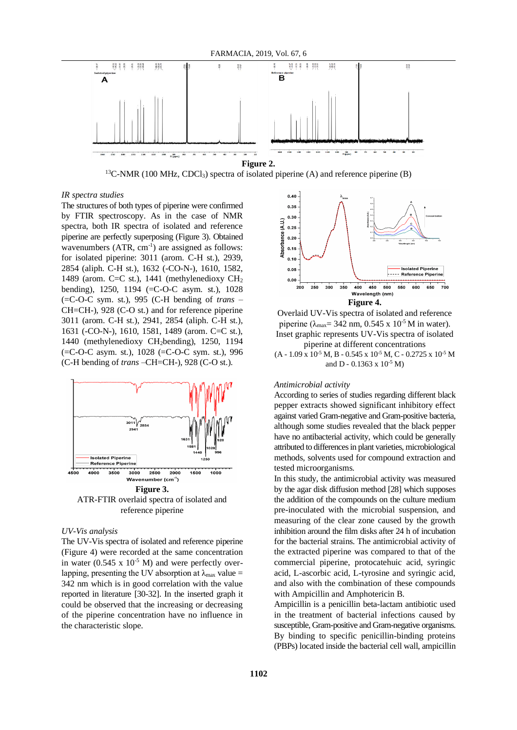

 $13C-NMR$  (100 MHz, CDCl<sub>3</sub>) spectra of isolated piperine (A) and reference piperine (B)

## *IR spectra studies*

The structures of both types of piperine were confirmed by FTIR spectroscopy. As in the case of NMR spectra, both IR spectra of isolated and reference piperine are perfectly superposing (Figure 3). Obtained wavenumbers  $(ATR, cm^{-1})$  are assigned as follows: for isolated piperine: 3011 (arom. C-H st.), 2939, 2854 (aliph. C-H st.), 1632 (-CO-N-), 1610, 1582, 1489 (arom. C=C st.), 1441 (methylenedioxy CH<sup>2</sup> bending), 1250, 1194 (=C-O-C asym. st.), 1028 (=C-O-C sym. st.), 995 (C-H bending of *trans* – CH=CH-), 928 (C-O st.) and for reference piperine 3011 (arom. C-H st.), 2941, 2854 (aliph. C-H st.), 1631 (-CO-N-), 1610, 1581, 1489 (arom. C=C st.), 1440 (methylenedioxy CH2bending), 1250, 1194 (=C-O-C asym. st.), 1028 (=C-O-C sym. st.), 996 (C-H bending of *trans* –CH=CH-), 928 (C-O st.).



#### *UV-Vis analysis*

The UV-Vis spectra of isolated and reference piperine (Figure 4) were recorded at the same concentration in water (0.545 x  $10^{-5}$  M) and were perfectly overlapping, presenting the UV absorption at  $\lambda_{\text{max}}$  value = 342 nm which is in good correlation with the value reported in literature [30-32]. In the inserted graph it could be observed that the increasing or decreasing of the piperine concentration have no influence in the characteristic slope.



Overlaid UV-Vis spectra of isolated and reference piperine ( $\lambda_{\text{max}}$  = 342 nm, 0.545 x 10<sup>-5</sup> M in water). Inset graphic represents UV-Vis spectra of isolated piperine at different concentrations  $(A - 1.09 \times 10^{-5} M, B - 0.545 \times 10^{-5} M, C - 0.2725 \times 10^{-5} M)$ and D - 0.1363 x  $10^{-5}$  M)

#### *Antimicrobial activity*

According to series of studies regarding different black pepper extracts showed significant inhibitory effect against varied Gram-negative and Gram-positive bacteria, although some studies revealed that the black pepper have no antibacterial activity, which could be generally attributed to differences in plant varieties, microbiological methods, solvents used for compound extraction and tested microorganisms.

In this study, the antimicrobial activity was measured by the agar disk diffusion method [28] which supposes the addition of the compounds on the culture medium pre-inoculated with the microbial suspension, and measuring of the clear zone caused by the growth inhibition around the film disks after 24 h of incubation for the bacterial strains. The antimicrobial activity of the extracted piperine was compared to that of the commercial piperine, protocatehuic acid, syringic acid, L-ascorbic acid, L-tyrosine and syringic acid, and also with the combination of these compounds with Ampicillin and Amphotericin B.

Ampicillin is a penicillin beta-lactam antibiotic used in the treatment of bacterial infections caused by susceptible, Gram-positive and Gram-negative organisms. By binding to specific penicillin-binding proteins (PBPs) located inside the bacterial cell wall, ampicillin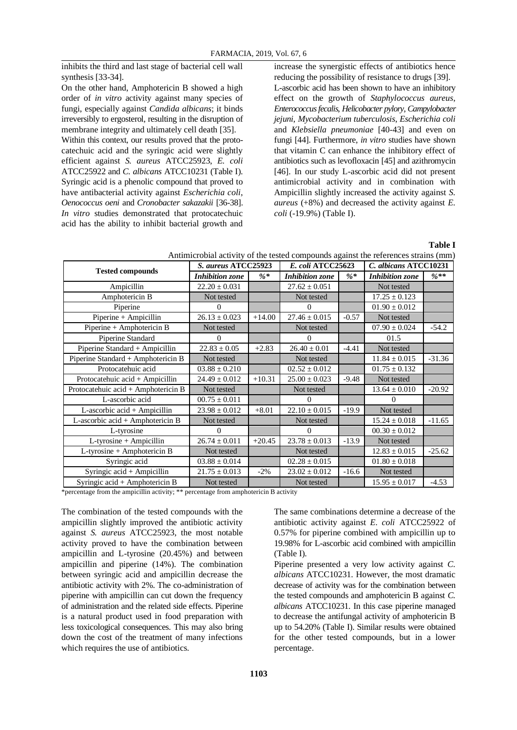inhibits the third and last stage of bacterial cell wall synthesis [33-34].

On the other hand, Amphotericin B showed a high order of *in vitro* activity against many species of fungi, especially against *Candida albicans*; it binds irreversibly to ergosterol, resulting in the disruption of membrane integrity and ultimately cell death [35].

Within this context, our results proved that the protocatechuic acid and the syringic acid were slightly efficient against *S. aureus* ATCC25923, *E. coli*  ATCC25922 and *C. albicans* ATCC10231 (Table I). Syringic acid is a phenolic compound that proved to have antibacterial activity against *Escherichia coli*, *Oenococcus oeni* and *Cronobacter sakazakii* [36-38]. *In vitro* studies demonstrated that protocatechuic acid has the ability to inhibit bacterial growth and

increase the synergistic effects of antibiotics hence reducing the possibility of resistance to drugs [39]. L-ascorbic acid has been shown to have an inhibitory effect on the growth of *Staphylococcus aureus*, *Enterococcus fecalis*, *Helicobacter pylory*, *Campylobacter jejuni*, *Mycobacterium tuberculosis*, *Escherichia coli* and *Klebsiella pneumoniae* [40-43] and even on fungi [44]. Furthermore, *in vitro* studies have shown that vitamin C can enhance the inhibitory effect of antibiotics such as levofloxacin [45] and azithromycin [46]. In our study L-ascorbic acid did not present antimicrobial activity and in combination with Ampicillin slightly increased the activity against *S. aureus* (+8%) and decreased the activity against *E. coli* (-19.9%) (Table I).

## **Table I**

Antimicrobial activity of the tested compounds against the references strains (mm)

| <b>Tested compounds</b>             | S. aureus ATCC25923    |          | E. coli ATCC25623      |         | C. albicans ATCC10231  |          |
|-------------------------------------|------------------------|----------|------------------------|---------|------------------------|----------|
|                                     | <b>Inhibition</b> zone | $%$ *    | <b>Inhibition</b> zone | $%$ *   | <b>Inhibition</b> zone | $\%**$   |
| Ampicillin                          | $22.20 \pm 0.031$      |          | $27.62 \pm 0.051$      |         | Not tested             |          |
| Amphotericin B                      | Not tested             |          | Not tested             |         | $17.25 \pm 0.123$      |          |
| Piperine                            | 0                      |          | 0                      |         | $01.90 \pm 0.012$      |          |
| Piperine + Ampicillin               | $26.13 \pm 0.023$      | $+14.00$ | $27.46 \pm 0.015$      | $-0.57$ | Not tested             |          |
| Piperine + Amphotericin B           | Not tested             |          | Not tested             |         | $07.90 \pm 0.024$      | $-54.2$  |
| Piperine Standard                   | $\Omega$               |          | 0                      |         | 01.5                   |          |
| Piperine Standard + Ampicillin      | $22.83 \pm 0.05$       | $+2.83$  | $26.40 \pm 0.01$       | $-4.41$ | Not tested             |          |
| Piperine Standard + Amphotericin B  | Not tested             |          | Not tested             |         | $11.84 \pm 0.015$      | $-31.36$ |
| Protocatehuic acid                  | $03.88 \pm 0.210$      |          | $02.52 \pm 0.012$      |         | $01.75 \pm 0.132$      |          |
| Protocatehuic acid + Ampicillin     | $24.49 \pm 0.012$      | $+10.31$ | $25.00 \pm 0.023$      | $-9.48$ | Not tested             |          |
| Protocatehuic acid + Amphotericin B | Not tested             |          | Not tested             |         | $13.64 \pm 0.010$      | $-20.92$ |
| L-ascorbic acid                     | $00.75 \pm 0.011$      |          | 0                      |         | 0                      |          |
| $L$ -ascorbic acid + Ampicillin     | $23.98 \pm 0.012$      | $+8.01$  | $22.10 \pm 0.015$      | $-19.9$ | Not tested             |          |
| L-ascorbic acid + Amphotericin B    | Not tested             |          | Not tested             |         | $15.24 \pm 0.018$      | $-11.65$ |
| L-tyrosine                          | 0                      |          | 0                      |         | $00.30 \pm 0.012$      |          |
| L-tyrosine + Ampicillin             | $26.74 \pm 0.011$      | $+20.45$ | $23.78 \pm 0.013$      | $-13.9$ | Not tested             |          |
| L-tyrosine + Amphotericin B         | Not tested             |          | Not tested             |         | $12.83 \pm 0.015$      | $-25.62$ |
| Syringic acid                       | $03.88 \pm 0.014$      |          | $02.28 \pm 0.015$      |         | $01.80 \pm 0.018$      |          |
| Syringic acid + Ampicillin          | $21.75 \pm 0.013$      | $-2\%$   | $23.02 \pm 0.012$      | $-16.6$ | Not tested             |          |
| Syringic acid + Amphotericin B      | Not tested             |          | Not tested             |         | $15.95 \pm 0.017$      | $-4.53$  |

\*percentage from the ampicillin activity; \*\* percentage from amphotericin B activity

The combination of the tested compounds with the ampicillin slightly improved the antibiotic activity against *S. aureus* ATCC25923, the most notable activity proved to have the combination between ampicillin and L-tyrosine (20.45%) and between ampicillin and piperine (14%). The combination between syringic acid and ampicillin decrease the antibiotic activity with 2%. The co-administration of piperine with ampicillin can cut down the frequency of administration and the related side effects. Piperine is a natural product used in food preparation with less toxicological consequences. This may also bring down the cost of the treatment of many infections which requires the use of antibiotics.

The same combinations determine a decrease of the antibiotic activity against *E. coli* ATCC25922 of 0.57% for piperine combined with ampicillin up to 19.98% for L-ascorbic acid combined with ampicillin (Table I).

Piperine presented a very low activity against *C. albicans* ATCC10231. However, the most dramatic decrease of activity was for the combination between the tested compounds and amphotericin B against *C. albicans* ATCC10231. In this case piperine managed to decrease the antifungal activity of amphotericin B up to 54.20% (Table I). Similar results were obtained for the other tested compounds, but in a lower percentage.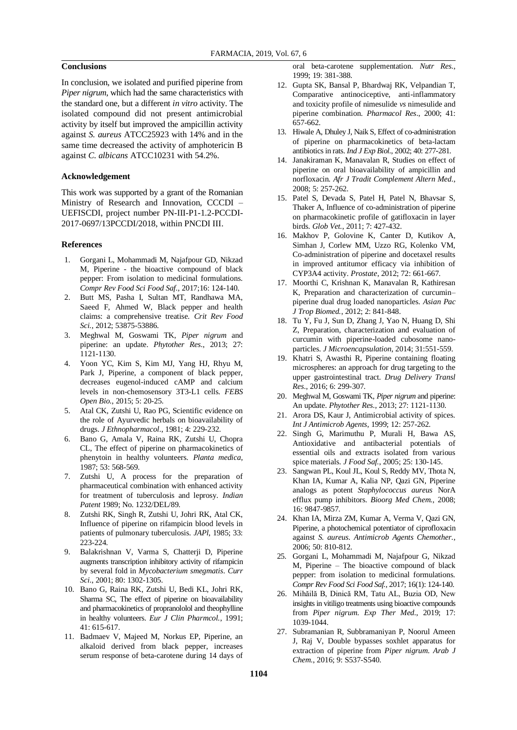## **Conclusions**

In conclusion, we isolated and purified piperine from *Piper nigrum*, which had the same characteristics with the standard one, but a different *in vitro* activity. The isolated compound did not present antimicrobial activity by itself but improved the ampicillin activity against *S. aureus* ATCC25923 with 14% and in the same time decreased the activity of amphotericin B against *C. albicans* ATCC10231 with 54.2%.

## **Acknowledgement**

This work was supported by a grant of the Romanian Ministry of Research and Innovation, CCCDI – UEFISCDI, project number PN-III-P1-1.2-PCCDI-2017-0697/13PCCDI/2018, within PNCDI III.

#### **References**

- 1. Gorgani L, Mohammadi M, Najafpour GD, Nikzad M, Piperine - the bioactive compound of black pepper: From isolation to medicinal formulations. *Compr Rev Food Sci Food Saf.*, 2017;16: 124-140.
- 2. Butt MS, Pasha I, Sultan MT, Randhawa MA, Saeed F, Ahmed W, Black pepper and health claims: a comprehensive treatise. *Crit Rev Food Sci.*, 2012; 53875-53886.
- 3. Meghwal M, Goswami TK, *Piper nigrum* and piperine: an update. *Phytother Res.*, 2013; 27: 1121-1130.
- 4. Yoon YC, Kim S, Kim MJ, Yang HJ, Rhyu M, Park J, Piperine, a component of black pepper, decreases eugenol-induced cAMP and calcium levels in non-chemosensory 3T3-L1 cells. *FEBS Open Bio.*, 2015; 5: 20-25.
- 5. Atal CK, Zutshi U, Rao PG, Scientific evidence on the role of Ayurvedic herbals on bioavailability of drugs. *J Ethnopharmacol*., 1981; 4: 229-232.
- 6. Bano G, Amala V, Raina RK, Zutshi U, Chopra CL, The effect of piperine on pharmacokinetics of phenytoin in healthy volunteers. *Planta medica*, 1987; 53: 568-569.
- 7. Zutshi U, A process for the preparation of pharmaceutical combination with enhanced activity for treatment of tuberculosis and leprosy. *Indian Patent* 1989; No. 1232/DEL/89.
- 8. Zutshi RK, Singh R, Zutshi U, Johri RK, Atal CK, Influence of piperine on rifampicin blood levels in patients of pulmonary tuberculosis. *JAPl*, 1985; 33: 223-224.
- 9. Balakrishnan V, Varma S, Chatterji D, Piperine augments transcription inhibitory activity of rifampicin by several fold in *Mycobacterium smegmatis*. *Curr Sci*., 2001; 80: 1302-1305.
- 10. Bano G, Raina RK, Zutshi U, Bedi KL, Johri RK, Sharma SC, The effect of piperine on bioavailability and pharmacokinetics of propranololol and theophylline in healthy volunteers. *Eur J Clin Pharmcol.*, 1991; 41: 615-617.
- 11. Badmaev V, Majeed M, Norkus EP, Piperine, an alkaloid derived from black pepper, increases serum response of beta-carotene during 14 days of

oral beta-carotene supplementation. *Nutr Res.*, 1999; 19: 381-388.

- 12. Gupta SK, Bansal P, Bhardwaj RK, Velpandian T, Comparative antinociceptive, anti-inflammatory and toxicity profile of nimesulide *vs* nimesulide and piperine combination. *Pharmacol Res*., 2000; 41: 657-662.
- 13. Hiwale A, Dhuley J, Naik S, Effect of co-administration of piperine on pharmacokinetics of beta-lactam antibiotics in rats. *Ind J Exp Biol.*, 2002; 40: 277-281.
- 14. Janakiraman K, Manavalan R, Studies on effect of piperine on oral bioavailability of ampicillin and norfloxacin. *Afr J Tradit Complement Altern Med.*, 2008; 5: 257-262.
- 15. Patel S, Devada S, Patel H, Patel N, Bhavsar S, Thaker A, Influence of co-administration of piperine on pharmacokinetic profile of gatifloxacin in layer birds. *Glob Vet.*, 2011; 7: 427-432.
- 16. Makhov P, Golovine K, Canter D, Kutikov A, Simhan J, Corlew MM, Uzzo RG, Kolenko VM, Co-administration of piperine and docetaxel results in improved antitumor efficacy via inhibition of CYP3A4 activity. *Prostate*, 2012; 72: 661-667.
- 17. Moorthi C, Krishnan K, Manavalan R, Kathiresan K, Preparation and characterization of curcumin– piperine dual drug loaded nanoparticles. *Asian Pac J Trop Biomed.*, 2012; 2: 841-848.
- 18. Tu Y, Fu J, Sun D, Zhang J, Yao N, Huang D, Shi Z, Preparation, characterization and evaluation of curcumin with piperine-loaded cubosome nanoparticles. *J Microencapsulation*, 2014; 31:551-559.
- 19. Khatri S, Awasthi R, Piperine containing floating microspheres: an approach for drug targeting to the upper gastrointestinal tract. *Drug Delivery Transl Res.*, 2016; 6: 299-307.
- 20. Meghwal M, Goswami TK, *Piper nigrum* and piperine: An update. *Phytother Res.*, 2013; 27: 1121-1130.
- 21. Arora DS, Kaur J, Antimicrobial activity of spices. *Int J Antimicrob Agents*, 1999; 12: 257-262.
- 22. Singh G, Marimuthu P, Murali H, Bawa AS, Antioxidative and antibacterial potentials of essential oils and extracts isolated from various spice materials. *J Food Saf.*, 2005; 25: 130-145.
- 23. Sangwan PL, Koul JL, Koul S, Reddy MV, Thota N, Khan IA, Kumar A, Kalia NP, Qazi GN, Piperine analogs as potent *Staphylococcus aureus* NorA efflux pump inhibitors. *Bioorg Med Chem.*, 2008; 16: 9847-9857.
- 24. Khan IA, Mirza ZM, Kumar A, Verma V, Qazi GN, Piperine, a photochemical potentiator of ciprofloxacin against *S. aureus*. *Antimicrob Agents Chemother.*, 2006; 50: 810-812.
- 25. Gorgani L, Mohammadi M, Najafpour G, Nikzad M, Piperine – The bioactive compound of black pepper: from isolation to medicinal formulations. *Compr Rev Food Sci Food Saf.*, 2017; 16(1): 124-140.
- 26. Mihăilă B, Dinică RM, Tatu AL, Buzia OD, New insights in vitiligo treatments using bioactive compounds from *Piper nigrum*. *Exp Ther Med.*, 2019; 17: 1039-1044.
- 27. Subramanian R, Subbramaniyan P, Noorul Ameen J, Raj V, Double bypasses soxhlet apparatus for extraction of piperine from *Piper nigrum*. *Arab J Chem.*, 2016; 9: S537-S540.